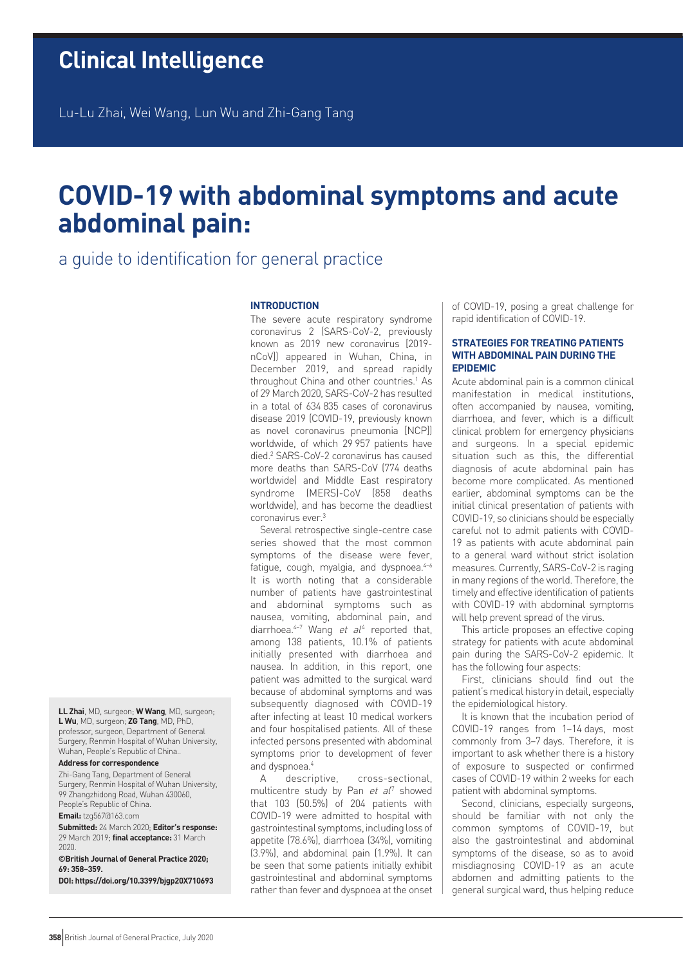Lu-Lu Zhai, Wei Wang, Lun Wu and Zhi-Gang Tang

# **COVID-19 with abdominal symptoms and acute abdominal pain:**

# a guide to identification for general practice

### **INTRODUCTION**

The severe acute respiratory syndrome coronavirus 2 (SARS-CoV-2, previously known as 2019 new coronavirus [2019 nCoV]) appeared in Wuhan, China, in December 2019, and spread rapidly throughout China and other countries.<sup>1</sup> As of 29 March 2020, SARS-CoV-2 has resulted in a total of 634 835 cases of coronavirus disease 2019 (COVID-19, previously known as novel coronavirus pneumonia [NCP]) worldwide, of which 29 957 patients have died.2 SARS-CoV-2 coronavirus has caused more deaths than SARS-CoV (774 deaths worldwide) and Middle East respiratory syndrome (MERS)-CoV (858 deaths worldwide), and has become the deadliest coronavirus ever.3

Several retrospective single-centre case series showed that the most common symptoms of the disease were fever, fatique, cough, myalgia, and dyspnoea.<sup>4-6</sup> It is worth noting that a considerable number of patients have gastrointestinal and abdominal symptoms such as nausea, vomiting, abdominal pain, and diarrhoea. $4-7$  Wang et  $al<sup>4</sup>$  reported that, among 138 patients, 10.1% of patients initially presented with diarrhoea and nausea. In addition, in this report, one patient was admitted to the surgical ward because of abdominal symptoms and was subsequently diagnosed with COVID-19 after infecting at least 10 medical workers and four hospitalised patients. All of these infected persons presented with abdominal symptoms prior to development of fever and dyspnoea.4

A descriptive, cross-sectional, multicentre study by Pan et al<sup>7</sup> showed that 103 (50.5%) of 204 patients with COVID-19 were admitted to hospital with gastrointestinal symptoms, including loss of appetite (78.6%), diarrhoea (34%), vomiting (3.9%), and abdominal pain (1.9%). It can be seen that some patients initially exhibit gastrointestinal and abdominal symptoms rather than fever and dyspnoea at the onset of COVID-19, posing a great challenge for rapid identification of COVID-19.

#### **STRATEGIES FOR TREATING PATIENTS WITH ABDOMINAL PAIN DURING THE EPIDEMIC**

Acute abdominal pain is a common clinical manifestation in medical institutions, often accompanied by nausea, vomiting, diarrhoea, and fever, which is a difficult clinical problem for emergency physicians and surgeons. In a special epidemic situation such as this, the differential diagnosis of acute abdominal pain has become more complicated. As mentioned earlier, abdominal symptoms can be the initial clinical presentation of patients with COVID-19, so clinicians should be especially careful not to admit patients with COVID-19 as patients with acute abdominal pain to a general ward without strict isolation measures. Currently, SARS-CoV-2 is raging in many regions of the world. Therefore, the timely and effective identification of patients with COVID-19 with abdominal symptoms will help prevent spread of the virus.

This article proposes an effective coping strategy for patients with acute abdominal pain during the SARS-CoV-2 epidemic. It has the following four aspects:

First, clinicians should find out the patient's medical history in detail, especially the epidemiological history.

It is known that the incubation period of COVID-19 ranges from 1–14 days, most commonly from 3–7 days. Therefore, it is important to ask whether there is a history of exposure to suspected or confirmed cases of COVID-19 within 2 weeks for each patient with abdominal symptoms.

Second, clinicians, especially surgeons, should be familiar with not only the common symptoms of COVID-19, but also the gastrointestinal and abdominal symptoms of the disease, so as to avoid misdiagnosing COVID-19 as an acute abdomen and admitting patients to the general surgical ward, thus helping reduce

**LL Zhai**, MD, surgeon; **W Wang**, MD, surgeon; **L Wu**, MD, surgeon; **ZG Tang**, MD, PhD, professor, surgeon, Department of General Surgery, Renmin Hospital of Wuhan University, Wuhan, People's Republic of China..

## **Address for correspondence**

Zhi-Gang Tang, Department of General Surgery, Renmin Hospital of Wuhan University, 99 Zhangzhidong Road, Wuhan 430060, People's Republic of China.

**Email:** tzg567@163.com

**Submitted:** 24 March 2020; **Editor's response:** 29 March 2019; **final acceptance:** 31 March 2020.

**©British Journal of General Practice 2020; 69: 358–359.**

**DOI: https://doi.org/10.3399/bjgp20X710693**